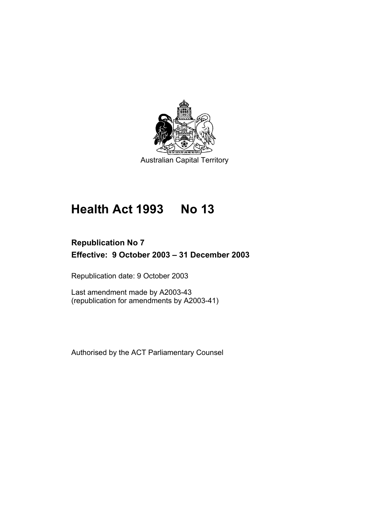

# **Health Act 1993 No 13**

## **Republication No 7 Effective: 9 October 2003 – 31 December 2003**

Republication date: 9 October 2003

Last amendment made by A2003-43 (republication for amendments by A2003-41)

Authorised by the ACT Parliamentary Counsel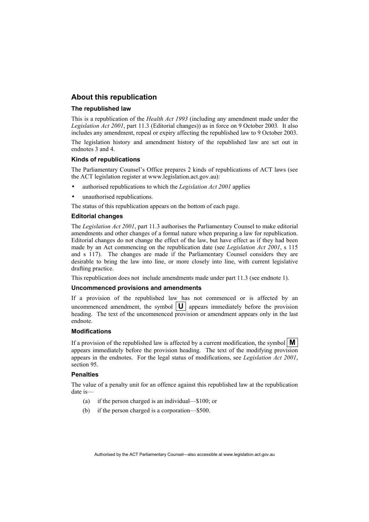#### **About this republication**

#### **The republished law**

This is a republication of the *Health Act 1993* (including any amendment made under the *Legislation Act 2001*, part 11.3 (Editorial changes)) as in force on 9 October 2003*.* It also includes any amendment, repeal or expiry affecting the republished law to 9 October 2003.

The legislation history and amendment history of the republished law are set out in endnotes 3 and 4.

#### **Kinds of republications**

The Parliamentary Counsel's Office prepares 2 kinds of republications of ACT laws (see the ACT legislation register at www.legislation.act.gov.au):

- authorised republications to which the *Legislation Act 2001* applies
- unauthorised republications.

The status of this republication appears on the bottom of each page.

#### **Editorial changes**

The *Legislation Act 2001*, part 11.3 authorises the Parliamentary Counsel to make editorial amendments and other changes of a formal nature when preparing a law for republication. Editorial changes do not change the effect of the law, but have effect as if they had been made by an Act commencing on the republication date (see *Legislation Act 2001*, s 115 and s 117). The changes are made if the Parliamentary Counsel considers they are desirable to bring the law into line, or more closely into line, with current legislative drafting practice.

This republication does not include amendments made under part 11.3 (see endnote 1).

#### **Uncommenced provisions and amendments**

If a provision of the republished law has not commenced or is affected by an uncommenced amendment, the symbol  $|\mathbf{U}|$  appears immediately before the provision heading. The text of the uncommenced provision or amendment appears only in the last endnote.

#### **Modifications**

If a provision of the republished law is affected by a current modification, the symbol  $\mathbf{M}$ appears immediately before the provision heading. The text of the modifying provision appears in the endnotes. For the legal status of modifications, see *Legislation Act 2001*, section 95.

#### **Penalties**

The value of a penalty unit for an offence against this republished law at the republication date is—

- (a) if the person charged is an individual—\$100; or
- (b) if the person charged is a corporation—\$500.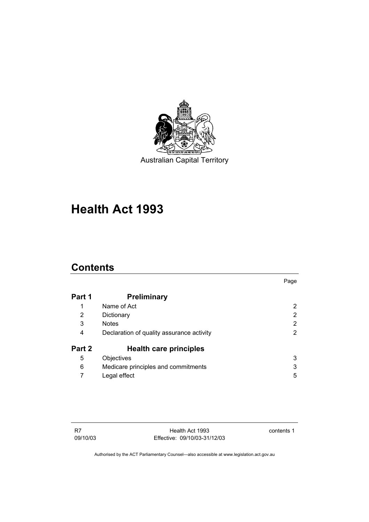

## **Health Act 1993**

## **Contents**

|        |                                           | Page |
|--------|-------------------------------------------|------|
| Part 1 | <b>Preliminary</b>                        |      |
|        | Name of Act                               | 2    |
| 2      | Dictionary                                | 2    |
| 3      | <b>Notes</b>                              | 2    |
| 4      | Declaration of quality assurance activity | 2    |
| Part 2 | <b>Health care principles</b>             |      |
| 5      | Objectives                                | 3    |
| 6      | Medicare principles and commitments       | 3    |
|        | Legal effect                              | 5    |

contents 1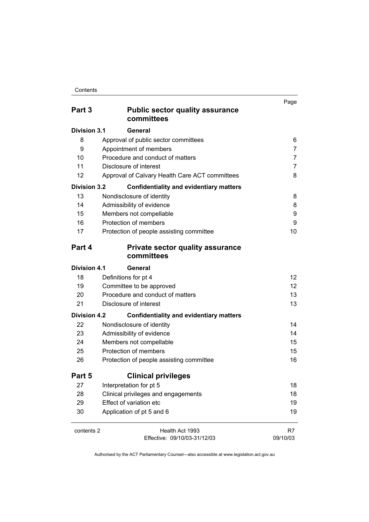| Part 3              | <b>Public sector quality assurance</b><br>committees  | Page            |
|---------------------|-------------------------------------------------------|-----------------|
| <b>Division 3.1</b> | General                                               |                 |
| 8                   | Approval of public sector committees                  | 6               |
| 9                   | Appointment of members                                | 7               |
| 10                  | Procedure and conduct of matters                      | 7               |
| 11                  | Disclosure of interest                                | 7               |
| 12                  | Approval of Calvary Health Care ACT committees        | 8               |
| <b>Division 3.2</b> | <b>Confidentiality and evidentiary matters</b>        |                 |
| 13                  | Nondisclosure of identity                             | 8               |
| 14                  | Admissibility of evidence                             | 8               |
| 15                  | Members not compellable                               | 9               |
| 16                  | Protection of members                                 | 9               |
| 17                  | Protection of people assisting committee              | 10              |
| Part 4              | <b>Private sector quality assurance</b><br>committees |                 |
| Division 4.1        | General                                               |                 |
| 18                  | Definitions for pt 4                                  | 12 <sup>2</sup> |
| 19                  | Committee to be approved                              | 12              |
| 20                  | Procedure and conduct of matters                      | 13              |
| 21                  | Disclosure of interest<br>13                          |                 |
| <b>Division 4.2</b> | <b>Confidentiality and evidentiary matters</b>        |                 |
| 22                  | Nondisclosure of identity                             | 14              |
| 23                  | Admissibility of evidence                             | 14              |
| 24                  | Members not compellable                               | 15              |
| 25                  | Protection of members                                 | 15              |
| 26                  | Protection of people assisting committee              | 16              |
| Part 5              | <b>Clinical privileges</b>                            |                 |
| 27                  | Interpretation for pt 5                               | 18              |
| 28                  | Clinical privileges and engagements                   | 18              |
| 29                  | Effect of variation etc                               | 19              |
| 30                  | Application of pt 5 and 6                             | 19              |
| contents 2          | Health Act 1993                                       | R7              |

Effective: 09/10/03-31/12/03

09/10/03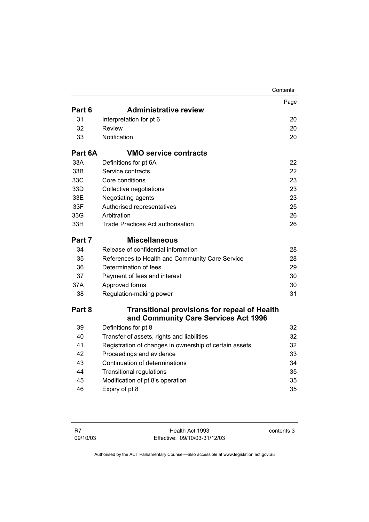|         |                                                        | Contents |
|---------|--------------------------------------------------------|----------|
|         |                                                        | Page     |
| Part 6  | <b>Administrative review</b>                           |          |
| 31      | Interpretation for pt 6                                | 20       |
| 32      | Review                                                 | 20       |
| 33      | Notification                                           | 20       |
| Part 6A | <b>VMO service contracts</b>                           |          |
| 33A     | Definitions for pt 6A                                  | 22       |
| 33B     | Service contracts                                      | 22       |
| 33C     | Core conditions                                        | 23       |
| 33D     | Collective negotiations                                | 23       |
| 33E     | Negotiating agents                                     | 23       |
| 33F     | Authorised representatives                             | 25       |
| 33G     | Arbitration                                            | 26       |
| 33H     | Trade Practices Act authorisation                      | 26       |
| Part 7  | <b>Miscellaneous</b>                                   |          |
| 34      | Release of confidential information                    | 28       |
| 35      | References to Health and Community Care Service        | 28       |
| 36      | Determination of fees                                  | 29       |
| 37      | Payment of fees and interest                           | 30       |
| 37A     | Approved forms                                         | 30       |
| 38      | Regulation-making power                                | 31       |
| Part 8  | <b>Transitional provisions for repeal of Health</b>    |          |
|         | and Community Care Services Act 1996                   |          |
| 39      | Definitions for pt 8                                   | 32       |
| 40      | Transfer of assets, rights and liabilities             | 32       |
| 41      | Registration of changes in ownership of certain assets | 32       |
| 42      | Proceedings and evidence                               | 33       |
| 43      | Continuation of determinations                         | 34       |
| 44      | <b>Transitional regulations</b>                        | 35       |
| 45      | Modification of pt 8's operation                       | 35       |
| 46      | Expiry of pt 8                                         | 35       |

contents 3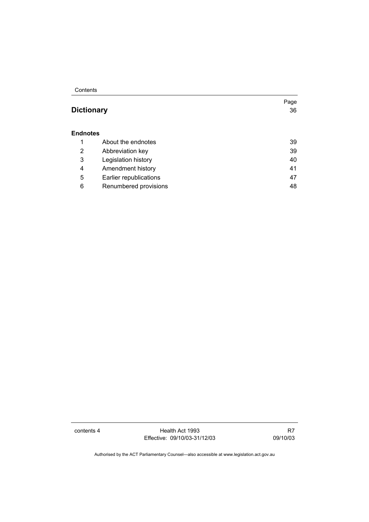Contents

## **Dictionary** 36

#### **Endnotes**

|   | About the endnotes     | 39 |
|---|------------------------|----|
| 2 | Abbreviation key       | 39 |
| 3 | Legislation history    | 40 |
| 4 | Amendment history      | 41 |
| 5 | Earlier republications | 47 |
| 6 | Renumbered provisions  | 48 |

contents 4 Health Act 1993 Effective: 09/10/03-31/12/03

R7 09/10/03

Page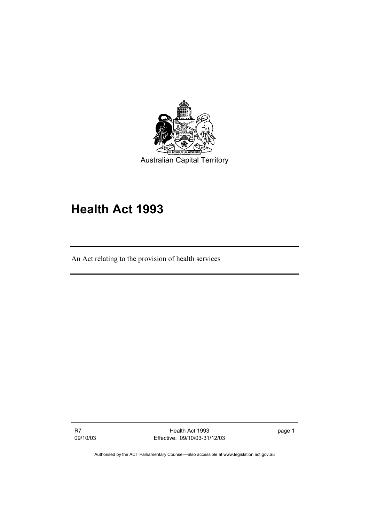

## **Health Act 1993**

An Act relating to the provision of health services

R7 09/10/03

Health Act 1993 Effective: 09/10/03-31/12/03 page 1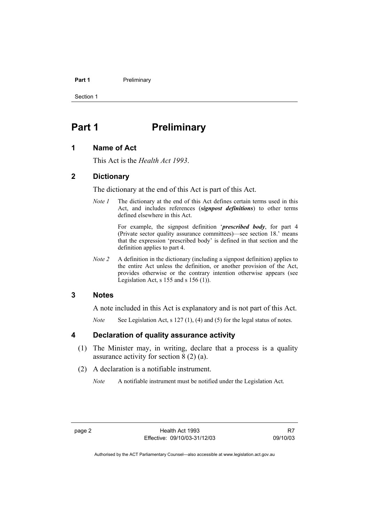#### **Part 1** Preliminary

Section 1

## **Part 1** Preliminary

## **1 Name of Act**

This Act is the *Health Act 1993*.

### **2 Dictionary**

The dictionary at the end of this Act is part of this Act.

*Note 1* The dictionary at the end of this Act defines certain terms used in this Act, and includes references (*signpost definitions*) to other terms defined elsewhere in this Act.

> For example, the signpost definition '*prescribed body*, for part 4 (Private sector quality assurance committees)—see section 18.' means that the expression 'prescribed body' is defined in that section and the definition applies to part 4.

*Note 2* A definition in the dictionary (including a signpost definition) applies to the entire Act unless the definition, or another provision of the Act, provides otherwise or the contrary intention otherwise appears (see Legislation Act,  $s$  155 and  $s$  156 (1)).

### **3 Notes**

A note included in this Act is explanatory and is not part of this Act.

*Note* See Legislation Act, s 127 (1), (4) and (5) for the legal status of notes.

#### **4 Declaration of quality assurance activity**

- (1) The Minister may, in writing, declare that a process is a quality assurance activity for section 8 (2) (a).
- (2) A declaration is a notifiable instrument.
	- *Note* A notifiable instrument must be notified under the Legislation Act.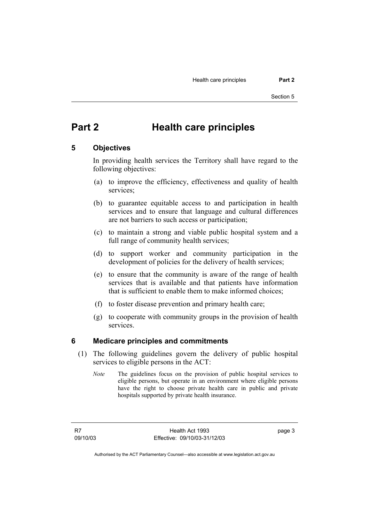## **Part 2 Health care principles**

#### **5 Objectives**

In providing health services the Territory shall have regard to the following objectives:

- (a) to improve the efficiency, effectiveness and quality of health services;
- (b) to guarantee equitable access to and participation in health services and to ensure that language and cultural differences are not barriers to such access or participation;
- (c) to maintain a strong and viable public hospital system and a full range of community health services;
- (d) to support worker and community participation in the development of policies for the delivery of health services;
- (e) to ensure that the community is aware of the range of health services that is available and that patients have information that is sufficient to enable them to make informed choices;
- (f) to foster disease prevention and primary health care;
- (g) to cooperate with community groups in the provision of health services.

#### **6 Medicare principles and commitments**

- (1) The following guidelines govern the delivery of public hospital services to eligible persons in the ACT:
	- *Note* The guidelines focus on the provision of public hospital services to eligible persons, but operate in an environment where eligible persons have the right to choose private health care in public and private hospitals supported by private health insurance.

R7 09/10/03 page 3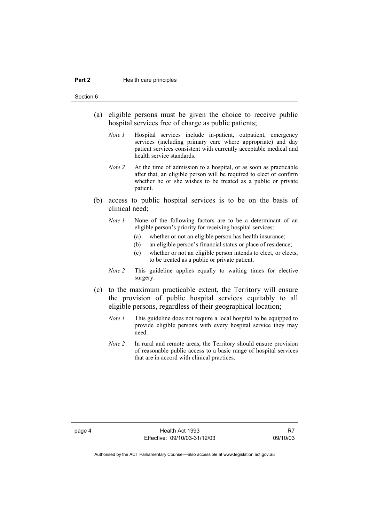#### **Part 2 Health care principles**

Section 6

- (a) eligible persons must be given the choice to receive public hospital services free of charge as public patients;
	- *Note 1* Hospital services include in-patient, outpatient, emergency services (including primary care where appropriate) and day patient services consistent with currently acceptable medical and health service standards.
	- *Note 2* At the time of admission to a hospital, or as soon as practicable after that, an eligible person will be required to elect or confirm whether he or she wishes to be treated as a public or private patient.
- (b) access to public hospital services is to be on the basis of clinical need;
	- *Note 1* None of the following factors are to be a determinant of an eligible person's priority for receiving hospital services:
		- (a) whether or not an eligible person has health insurance;
		- (b) an eligible person's financial status or place of residence;
		- (c) whether or not an eligible person intends to elect, or elects, to be treated as a public or private patient.
	- *Note 2* This guideline applies equally to waiting times for elective surgery.
- (c) to the maximum practicable extent, the Territory will ensure the provision of public hospital services equitably to all eligible persons, regardless of their geographical location;
	- *Note 1* This guideline does not require a local hospital to be equipped to provide eligible persons with every hospital service they may need.
	- *Note 2* In rural and remote areas, the Territory should ensure provision of reasonable public access to a basic range of hospital services that are in accord with clinical practices.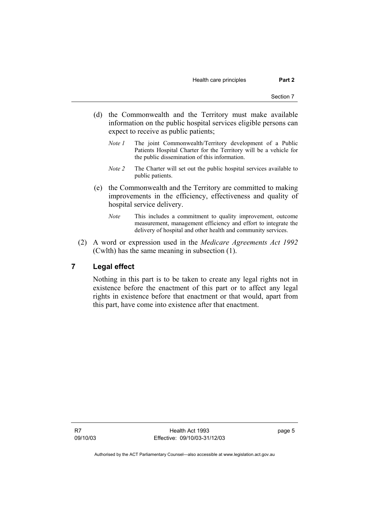Health care principles **Part 2** 

- (d) the Commonwealth and the Territory must make available information on the public hospital services eligible persons can expect to receive as public patients;
	- *Note 1* The joint Commonwealth/Territory development of a Public Patients Hospital Charter for the Territory will be a vehicle for the public dissemination of this information.
	- *Note 2* The Charter will set out the public hospital services available to public patients.
- (e) the Commonwealth and the Territory are committed to making improvements in the efficiency, effectiveness and quality of hospital service delivery.
	- *Note* This includes a commitment to quality improvement, outcome measurement, management efficiency and effort to integrate the delivery of hospital and other health and community services.
- (2) A word or expression used in the *Medicare Agreements Act 1992* (Cwlth) has the same meaning in subsection (1).

## **7 Legal effect**

Nothing in this part is to be taken to create any legal rights not in existence before the enactment of this part or to affect any legal rights in existence before that enactment or that would, apart from this part, have come into existence after that enactment.

R7 09/10/03

Health Act 1993 Effective: 09/10/03-31/12/03 page 5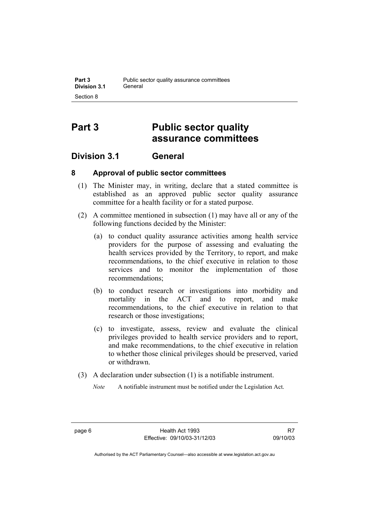## **Part 3 Public sector quality assurance committees**

## **Division 3.1 General**

## **8 Approval of public sector committees**

- (1) The Minister may, in writing, declare that a stated committee is established as an approved public sector quality assurance committee for a health facility or for a stated purpose.
- (2) A committee mentioned in subsection (1) may have all or any of the following functions decided by the Minister:
	- (a) to conduct quality assurance activities among health service providers for the purpose of assessing and evaluating the health services provided by the Territory, to report, and make recommendations, to the chief executive in relation to those services and to monitor the implementation of those recommendations;
	- (b) to conduct research or investigations into morbidity and mortality in the ACT and to report, and make recommendations, to the chief executive in relation to that research or those investigations;
	- (c) to investigate, assess, review and evaluate the clinical privileges provided to health service providers and to report, and make recommendations, to the chief executive in relation to whether those clinical privileges should be preserved, varied or withdrawn.
- (3) A declaration under subsection (1) is a notifiable instrument.
	- *Note* A notifiable instrument must be notified under the Legislation Act.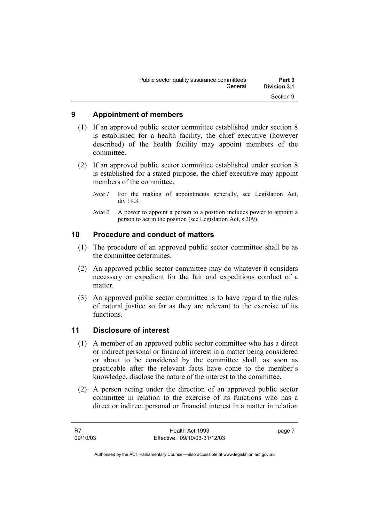| Public sector quality assurance committees | Part 3       |
|--------------------------------------------|--------------|
| General                                    | Division 3.1 |
|                                            | Section 9    |

## **9 Appointment of members**

- (1) If an approved public sector committee established under section 8 is established for a health facility, the chief executive (however described) of the health facility may appoint members of the committee.
- (2) If an approved public sector committee established under section 8 is established for a stated purpose, the chief executive may appoint members of the committee.
	- *Note 1* For the making of appointments generally, see Legislation Act, div 19.3.
	- *Note 2* A power to appoint a person to a position includes power to appoint a person to act in the position (see Legislation Act, s 209).

## **10 Procedure and conduct of matters**

- (1) The procedure of an approved public sector committee shall be as the committee determines.
- (2) An approved public sector committee may do whatever it considers necessary or expedient for the fair and expeditious conduct of a matter.
- (3) An approved public sector committee is to have regard to the rules of natural justice so far as they are relevant to the exercise of its functions.

#### **11 Disclosure of interest**

- (1) A member of an approved public sector committee who has a direct or indirect personal or financial interest in a matter being considered or about to be considered by the committee shall, as soon as practicable after the relevant facts have come to the member's knowledge, disclose the nature of the interest to the committee.
- (2) A person acting under the direction of an approved public sector committee in relation to the exercise of its functions who has a direct or indirect personal or financial interest in a matter in relation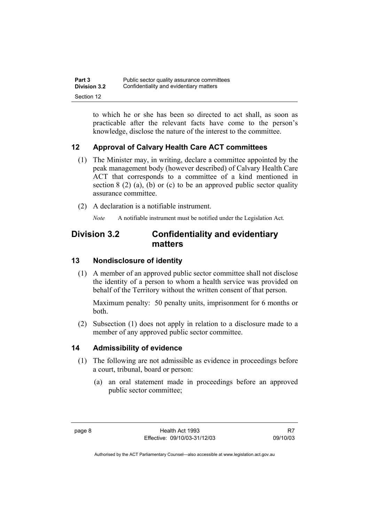| Part 3              | Public sector quality assurance committees |
|---------------------|--------------------------------------------|
| <b>Division 3.2</b> | Confidentiality and evidentiary matters    |
| Section 12          |                                            |

to which he or she has been so directed to act shall, as soon as practicable after the relevant facts have come to the person's knowledge, disclose the nature of the interest to the committee.

## **12 Approval of Calvary Health Care ACT committees**

- (1) The Minister may, in writing, declare a committee appointed by the peak management body (however described) of Calvary Health Care ACT that corresponds to a committee of a kind mentioned in section  $8(2)$  (a), (b) or (c) to be an approved public sector quality assurance committee.
- (2) A declaration is a notifiable instrument.

*Note* A notifiable instrument must be notified under the Legislation Act.

## **Division 3.2 Confidentiality and evidentiary matters**

## **13 Nondisclosure of identity**

 (1) A member of an approved public sector committee shall not disclose the identity of a person to whom a health service was provided on behalf of the Territory without the written consent of that person.

Maximum penalty: 50 penalty units, imprisonment for 6 months or both.

 (2) Subsection (1) does not apply in relation to a disclosure made to a member of any approved public sector committee.

## **14 Admissibility of evidence**

- (1) The following are not admissible as evidence in proceedings before a court, tribunal, board or person:
	- (a) an oral statement made in proceedings before an approved public sector committee;

R7 09/10/03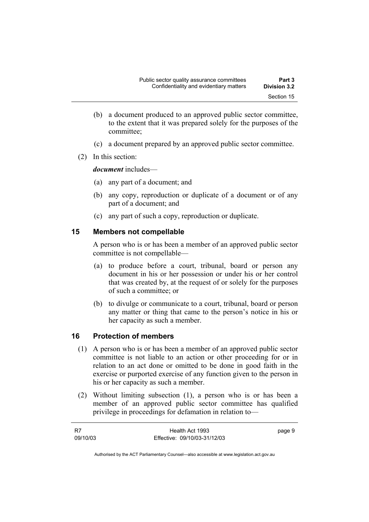- (b) a document produced to an approved public sector committee, to the extent that it was prepared solely for the purposes of the committee;
- (c) a document prepared by an approved public sector committee.
- (2) In this section:

*document* includes—

- (a) any part of a document; and
- (b) any copy, reproduction or duplicate of a document or of any part of a document; and
- (c) any part of such a copy, reproduction or duplicate.

## **15 Members not compellable**

A person who is or has been a member of an approved public sector committee is not compellable—

- (a) to produce before a court, tribunal, board or person any document in his or her possession or under his or her control that was created by, at the request of or solely for the purposes of such a committee; or
- (b) to divulge or communicate to a court, tribunal, board or person any matter or thing that came to the person's notice in his or her capacity as such a member.

## **16 Protection of members**

- (1) A person who is or has been a member of an approved public sector committee is not liable to an action or other proceeding for or in relation to an act done or omitted to be done in good faith in the exercise or purported exercise of any function given to the person in his or her capacity as such a member.
- (2) Without limiting subsection (1), a person who is or has been a member of an approved public sector committee has qualified privilege in proceedings for defamation in relation to—

| - R7     | Health Act 1993              | page 9 |
|----------|------------------------------|--------|
| 09/10/03 | Effective: 09/10/03-31/12/03 |        |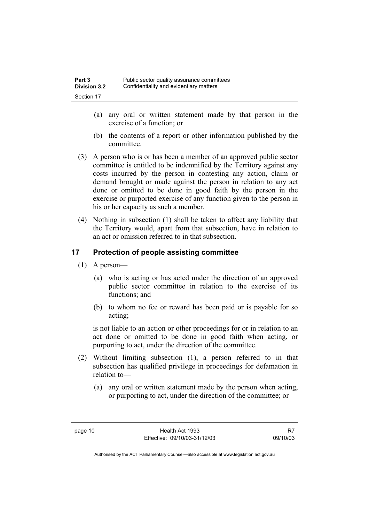| Part 3              | Public sector quality assurance committees |
|---------------------|--------------------------------------------|
| <b>Division 3.2</b> | Confidentiality and evidentiary matters    |
| Section 17          |                                            |

- (a) any oral or written statement made by that person in the exercise of a function; or
- (b) the contents of a report or other information published by the committee.
- (3) A person who is or has been a member of an approved public sector committee is entitled to be indemnified by the Territory against any costs incurred by the person in contesting any action, claim or demand brought or made against the person in relation to any act done or omitted to be done in good faith by the person in the exercise or purported exercise of any function given to the person in his or her capacity as such a member.
- (4) Nothing in subsection (1) shall be taken to affect any liability that the Territory would, apart from that subsection, have in relation to an act or omission referred to in that subsection.

### **17 Protection of people assisting committee**

- (1) A person—
	- (a) who is acting or has acted under the direction of an approved public sector committee in relation to the exercise of its functions; and
	- (b) to whom no fee or reward has been paid or is payable for so acting;

is not liable to an action or other proceedings for or in relation to an act done or omitted to be done in good faith when acting, or purporting to act, under the direction of the committee.

- (2) Without limiting subsection (1), a person referred to in that subsection has qualified privilege in proceedings for defamation in relation to—
	- (a) any oral or written statement made by the person when acting, or purporting to act, under the direction of the committee; or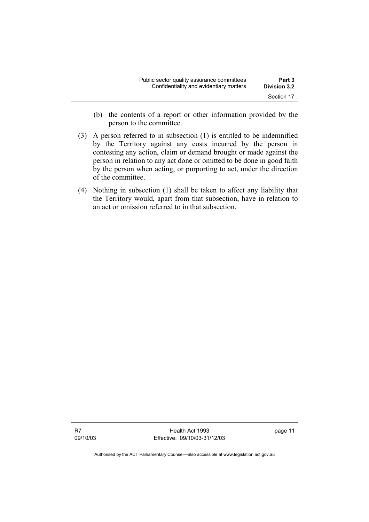| Public sector quality assurance committees | Part 3              |
|--------------------------------------------|---------------------|
| Confidentiality and evidentiary matters    | <b>Division 3.2</b> |
|                                            | Section 17          |

- (b) the contents of a report or other information provided by the person to the committee.
- (3) A person referred to in subsection (1) is entitled to be indemnified by the Territory against any costs incurred by the person in contesting any action, claim or demand brought or made against the person in relation to any act done or omitted to be done in good faith by the person when acting, or purporting to act, under the direction of the committee.
- (4) Nothing in subsection (1) shall be taken to affect any liability that the Territory would, apart from that subsection, have in relation to an act or omission referred to in that subsection.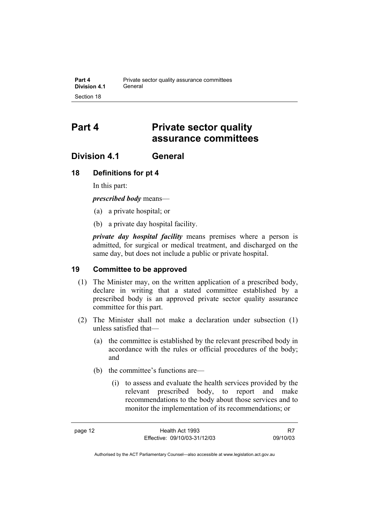## **Part 4 Private sector quality assurance committees**

## **Division 4.1 General**

### **18 Definitions for pt 4**

In this part:

*prescribed body* means—

- (a) a private hospital; or
- (b) a private day hospital facility.

*private day hospital facility* means premises where a person is admitted, for surgical or medical treatment, and discharged on the same day, but does not include a public or private hospital.

### **19 Committee to be approved**

- (1) The Minister may, on the written application of a prescribed body, declare in writing that a stated committee established by a prescribed body is an approved private sector quality assurance committee for this part.
- (2) The Minister shall not make a declaration under subsection (1) unless satisfied that—
	- (a) the committee is established by the relevant prescribed body in accordance with the rules or official procedures of the body; and
	- (b) the committee's functions are—
		- (i) to assess and evaluate the health services provided by the relevant prescribed body, to report and make recommendations to the body about those services and to monitor the implementation of its recommendations; or

R7 09/10/03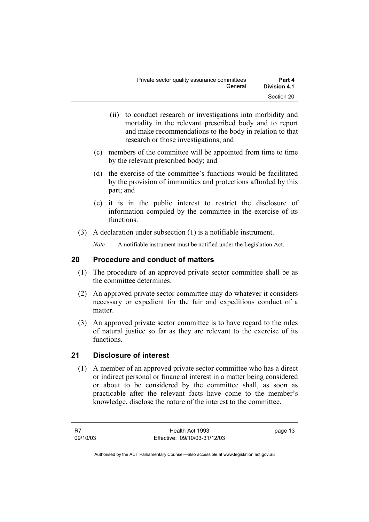- (ii) to conduct research or investigations into morbidity and mortality in the relevant prescribed body and to report and make recommendations to the body in relation to that research or those investigations; and
- (c) members of the committee will be appointed from time to time by the relevant prescribed body; and
- (d) the exercise of the committee's functions would be facilitated by the provision of immunities and protections afforded by this part; and
- (e) it is in the public interest to restrict the disclosure of information compiled by the committee in the exercise of its functions.
- (3) A declaration under subsection (1) is a notifiable instrument.

*Note* A notifiable instrument must be notified under the Legislation Act.

## **20 Procedure and conduct of matters**

- (1) The procedure of an approved private sector committee shall be as the committee determines.
- (2) An approved private sector committee may do whatever it considers necessary or expedient for the fair and expeditious conduct of a matter.
- (3) An approved private sector committee is to have regard to the rules of natural justice so far as they are relevant to the exercise of its functions.

## **21 Disclosure of interest**

 (1) A member of an approved private sector committee who has a direct or indirect personal or financial interest in a matter being considered or about to be considered by the committee shall, as soon as practicable after the relevant facts have come to the member's knowledge, disclose the nature of the interest to the committee.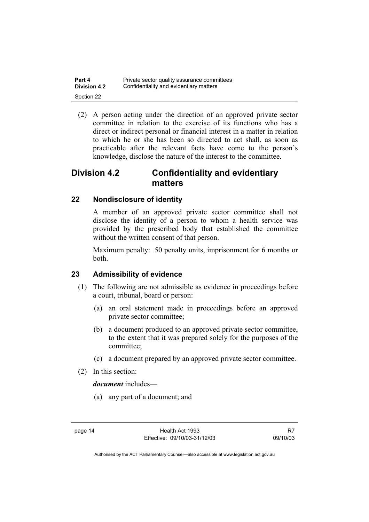| Part 4       | Private sector quality assurance committees |
|--------------|---------------------------------------------|
| Division 4.2 | Confidentiality and evidentiary matters     |
| Section 22   |                                             |

 (2) A person acting under the direction of an approved private sector committee in relation to the exercise of its functions who has a direct or indirect personal or financial interest in a matter in relation to which he or she has been so directed to act shall, as soon as practicable after the relevant facts have come to the person's knowledge, disclose the nature of the interest to the committee.

## **Division 4.2 Confidentiality and evidentiary matters**

### **22 Nondisclosure of identity**

A member of an approved private sector committee shall not disclose the identity of a person to whom a health service was provided by the prescribed body that established the committee without the written consent of that person.

Maximum penalty: 50 penalty units, imprisonment for 6 months or both.

#### **23 Admissibility of evidence**

- (1) The following are not admissible as evidence in proceedings before a court, tribunal, board or person:
	- (a) an oral statement made in proceedings before an approved private sector committee;
	- (b) a document produced to an approved private sector committee, to the extent that it was prepared solely for the purposes of the committee;
	- (c) a document prepared by an approved private sector committee.
- (2) In this section:

#### *document* includes—

(a) any part of a document; and

R7 09/10/03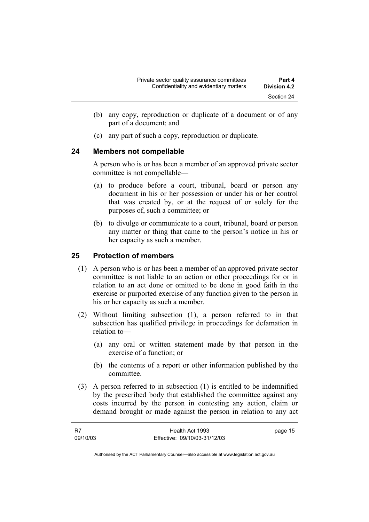- (b) any copy, reproduction or duplicate of a document or of any part of a document; and
- (c) any part of such a copy, reproduction or duplicate.

#### **24 Members not compellable**

A person who is or has been a member of an approved private sector committee is not compellable—

- (a) to produce before a court, tribunal, board or person any document in his or her possession or under his or her control that was created by, or at the request of or solely for the purposes of, such a committee; or
- (b) to divulge or communicate to a court, tribunal, board or person any matter or thing that came to the person's notice in his or her capacity as such a member.

## **25 Protection of members**

- (1) A person who is or has been a member of an approved private sector committee is not liable to an action or other proceedings for or in relation to an act done or omitted to be done in good faith in the exercise or purported exercise of any function given to the person in his or her capacity as such a member.
- (2) Without limiting subsection (1), a person referred to in that subsection has qualified privilege in proceedings for defamation in relation to—
	- (a) any oral or written statement made by that person in the exercise of a function; or
	- (b) the contents of a report or other information published by the committee.
- (3) A person referred to in subsection (1) is entitled to be indemnified by the prescribed body that established the committee against any costs incurred by the person in contesting any action, claim or demand brought or made against the person in relation to any act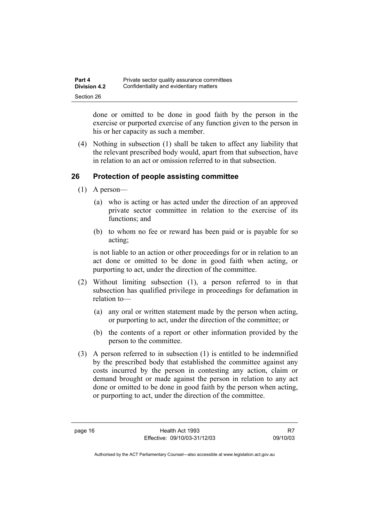| Part 4              | Private sector quality assurance committees |
|---------------------|---------------------------------------------|
| <b>Division 4.2</b> | Confidentiality and evidentiary matters     |
| Section 26          |                                             |

done or omitted to be done in good faith by the person in the exercise or purported exercise of any function given to the person in his or her capacity as such a member.

 (4) Nothing in subsection (1) shall be taken to affect any liability that the relevant prescribed body would, apart from that subsection, have in relation to an act or omission referred to in that subsection.

#### **26 Protection of people assisting committee**

- (1) A person—
	- (a) who is acting or has acted under the direction of an approved private sector committee in relation to the exercise of its functions; and
	- (b) to whom no fee or reward has been paid or is payable for so acting;

is not liable to an action or other proceedings for or in relation to an act done or omitted to be done in good faith when acting, or purporting to act, under the direction of the committee.

- (2) Without limiting subsection (1), a person referred to in that subsection has qualified privilege in proceedings for defamation in relation to—
	- (a) any oral or written statement made by the person when acting, or purporting to act, under the direction of the committee; or
	- (b) the contents of a report or other information provided by the person to the committee.
- (3) A person referred to in subsection (1) is entitled to be indemnified by the prescribed body that established the committee against any costs incurred by the person in contesting any action, claim or demand brought or made against the person in relation to any act done or omitted to be done in good faith by the person when acting, or purporting to act, under the direction of the committee.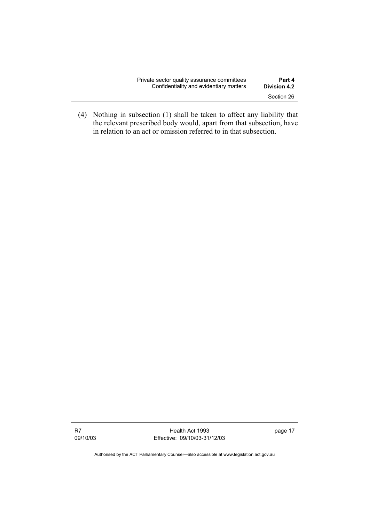| Private sector quality assurance committees | Part 4              |
|---------------------------------------------|---------------------|
| Confidentiality and evidentiary matters     | <b>Division 4.2</b> |
|                                             | Section 26          |

 (4) Nothing in subsection (1) shall be taken to affect any liability that the relevant prescribed body would, apart from that subsection, have in relation to an act or omission referred to in that subsection.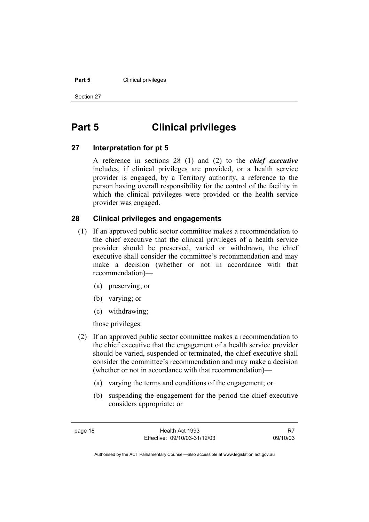#### **Part 5 Clinical privileges**

Section 27

## **Part 5 Clinical privileges**

### **27 Interpretation for pt 5**

A reference in sections 28 (1) and (2) to the *chief executive* includes, if clinical privileges are provided, or a health service provider is engaged, by a Territory authority, a reference to the person having overall responsibility for the control of the facility in which the clinical privileges were provided or the health service provider was engaged.

### **28 Clinical privileges and engagements**

- (1) If an approved public sector committee makes a recommendation to the chief executive that the clinical privileges of a health service provider should be preserved, varied or withdrawn, the chief executive shall consider the committee's recommendation and may make a decision (whether or not in accordance with that recommendation)—
	- (a) preserving; or
	- (b) varying; or
	- (c) withdrawing;

those privileges.

- (2) If an approved public sector committee makes a recommendation to the chief executive that the engagement of a health service provider should be varied, suspended or terminated, the chief executive shall consider the committee's recommendation and may make a decision (whether or not in accordance with that recommendation)—
	- (a) varying the terms and conditions of the engagement; or
	- (b) suspending the engagement for the period the chief executive considers appropriate; or

R7 09/10/03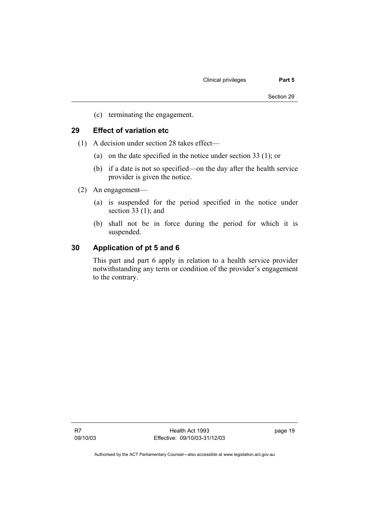(c) terminating the engagement.

### **29 Effect of variation etc**

- (1) A decision under section 28 takes effect—
	- (a) on the date specified in the notice under section 33 (1); or
	- (b) if a date is not so specified—on the day after the health service provider is given the notice.
- (2) An engagement—
	- (a) is suspended for the period specified in the notice under section 33 (1); and
	- (b) shall not be in force during the period for which it is suspended.

#### **30 Application of pt 5 and 6**

This part and part 6 apply in relation to a health service provider notwithstanding any term or condition of the provider's engagement to the contrary.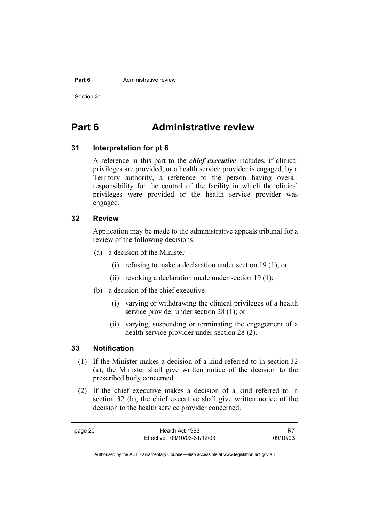#### **Part 6 Administrative review**

Section 31

## **Part 6 Administrative review**

#### **31 Interpretation for pt 6**

A reference in this part to the *chief executive* includes, if clinical privileges are provided, or a health service provider is engaged, by a Territory authority, a reference to the person having overall responsibility for the control of the facility in which the clinical privileges were provided or the health service provider was engaged.

#### **32 Review**

Application may be made to the administrative appeals tribunal for a review of the following decisions:

- (a) a decision of the Minister—
	- (i) refusing to make a declaration under section 19 (1); or
	- (ii) revoking a declaration made under section 19 (1);
- (b) a decision of the chief executive—
	- (i) varying or withdrawing the clinical privileges of a health service provider under section 28 (1); or
	- (ii) varying, suspending or terminating the engagement of a health service provider under section 28 (2).

#### **33 Notification**

- (1) If the Minister makes a decision of a kind referred to in section 32 (a), the Minister shall give written notice of the decision to the prescribed body concerned.
- (2) If the chief executive makes a decision of a kind referred to in section 32 (b), the chief executive shall give written notice of the decision to the health service provider concerned.

page 20 Health Act 1993 Effective: 09/10/03-31/12/03

R7 09/10/03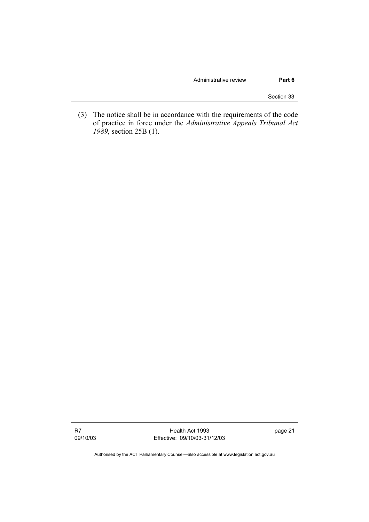#### Administrative review **Part 6**

Section 33

 (3) The notice shall be in accordance with the requirements of the code of practice in force under the *Administrative Appeals Tribunal Act 1989*, section 25B (1).

R7 09/10/03

Health Act 1993 Effective: 09/10/03-31/12/03 page 21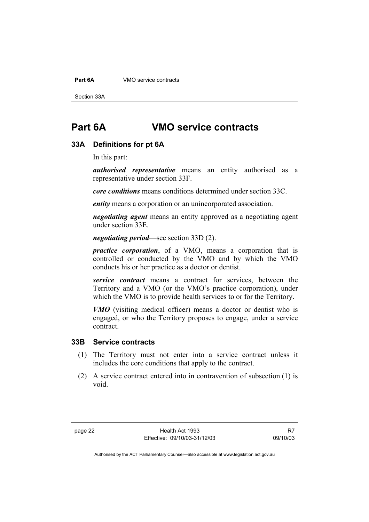**Part 6A VMO** service contracts

Section 33A

## **Part 6A VMO service contracts**

#### **33A Definitions for pt 6A**

In this part:

*authorised representative* means an entity authorised as a representative under section 33F.

*core conditions* means conditions determined under section 33C.

*entity* means a corporation or an unincorporated association.

*negotiating agent* means an entity approved as a negotiating agent under section 33E.

#### *negotiating period*—see section 33D (2).

*practice corporation*, of a VMO, means a corporation that is controlled or conducted by the VMO and by which the VMO conducts his or her practice as a doctor or dentist.

*service contract* means a contract for services, between the Territory and a VMO (or the VMO's practice corporation), under which the VMO is to provide health services to or for the Territory.

*VMO* (visiting medical officer) means a doctor or dentist who is engaged, or who the Territory proposes to engage, under a service contract.

#### **33B Service contracts**

- (1) The Territory must not enter into a service contract unless it includes the core conditions that apply to the contract.
- (2) A service contract entered into in contravention of subsection (1) is void.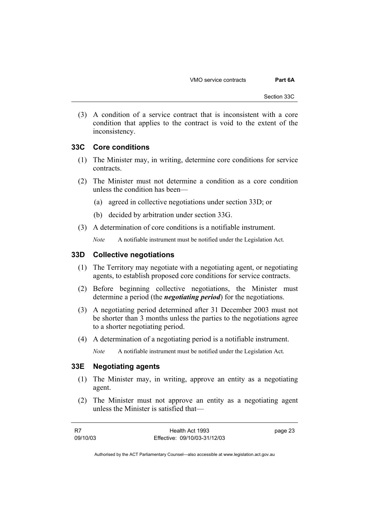VMO service contracts **Part 6A** 

 (3) A condition of a service contract that is inconsistent with a core condition that applies to the contract is void to the extent of the inconsistency.

#### **33C Core conditions**

- (1) The Minister may, in writing, determine core conditions for service contracts.
- (2) The Minister must not determine a condition as a core condition unless the condition has been—
	- (a) agreed in collective negotiations under section 33D; or
	- (b) decided by arbitration under section 33G.
- (3) A determination of core conditions is a notifiable instrument.

*Note* A notifiable instrument must be notified under the Legislation Act.

#### **33D Collective negotiations**

- (1) The Territory may negotiate with a negotiating agent, or negotiating agents, to establish proposed core conditions for service contracts.
- (2) Before beginning collective negotiations, the Minister must determine a period (the *negotiating period*) for the negotiations.
- (3) A negotiating period determined after 31 December 2003 must not be shorter than 3 months unless the parties to the negotiations agree to a shorter negotiating period.
- (4) A determination of a negotiating period is a notifiable instrument.

*Note* A notifiable instrument must be notified under the Legislation Act.

### **33E Negotiating agents**

- (1) The Minister may, in writing, approve an entity as a negotiating agent.
- (2) The Minister must not approve an entity as a negotiating agent unless the Minister is satisfied that—

| - R7     | Health Act 1993              | page 23 |
|----------|------------------------------|---------|
| 09/10/03 | Effective: 09/10/03-31/12/03 |         |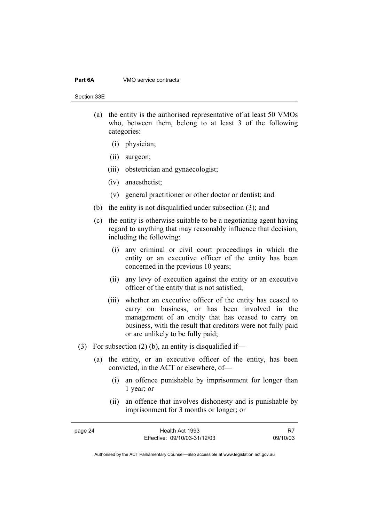#### **Part 6A VMO** service contracts

Section 33E

- (a) the entity is the authorised representative of at least 50 VMOs who, between them, belong to at least 3 of the following categories:
	- (i) physician;
	- (ii) surgeon;
	- (iii) obstetrician and gynaecologist;
	- (iv) anaesthetist;
	- (v) general practitioner or other doctor or dentist; and
- (b) the entity is not disqualified under subsection (3); and
- (c) the entity is otherwise suitable to be a negotiating agent having regard to anything that may reasonably influence that decision, including the following:
	- (i) any criminal or civil court proceedings in which the entity or an executive officer of the entity has been concerned in the previous 10 years;
	- (ii) any levy of execution against the entity or an executive officer of the entity that is not satisfied;
	- (iii) whether an executive officer of the entity has ceased to carry on business, or has been involved in the management of an entity that has ceased to carry on business, with the result that creditors were not fully paid or are unlikely to be fully paid;
- (3) For subsection (2) (b), an entity is disqualified if-
	- (a) the entity, or an executive officer of the entity, has been convicted, in the ACT or elsewhere, of—
		- (i) an offence punishable by imprisonment for longer than 1 year; or
		- (ii) an offence that involves dishonesty and is punishable by imprisonment for 3 months or longer; or

| page 24 | Health Act 1993              |          |
|---------|------------------------------|----------|
|         | Effective: 09/10/03-31/12/03 | 09/10/03 |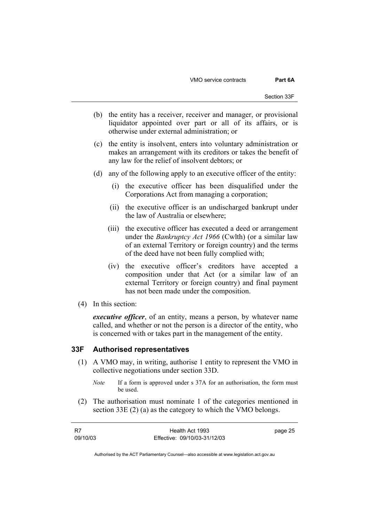VMO service contracts **Part 6A** 

- (b) the entity has a receiver, receiver and manager, or provisional liquidator appointed over part or all of its affairs, or is otherwise under external administration; or
- (c) the entity is insolvent, enters into voluntary administration or makes an arrangement with its creditors or takes the benefit of any law for the relief of insolvent debtors; or
- (d) any of the following apply to an executive officer of the entity:
	- (i) the executive officer has been disqualified under the Corporations Act from managing a corporation;
	- (ii) the executive officer is an undischarged bankrupt under the law of Australia or elsewhere;
	- (iii) the executive officer has executed a deed or arrangement under the *Bankruptcy Act 1966* (Cwlth) (or a similar law of an external Territory or foreign country) and the terms of the deed have not been fully complied with;
	- (iv) the executive officer's creditors have accepted a composition under that Act (or a similar law of an external Territory or foreign country) and final payment has not been made under the composition.
- (4) In this section:

*executive officer*, of an entity, means a person, by whatever name called, and whether or not the person is a director of the entity, who is concerned with or takes part in the management of the entity.

#### **33F Authorised representatives**

- (1) A VMO may, in writing, authorise 1 entity to represent the VMO in collective negotiations under section 33D.
	- *Note* If a form is approved under s 37A for an authorisation, the form must be used.
- (2) The authorisation must nominate 1 of the categories mentioned in section 33E (2) (a) as the category to which the VMO belongs.

| R7       | Health Act 1993              | page 25 |
|----------|------------------------------|---------|
| 09/10/03 | Effective: 09/10/03-31/12/03 |         |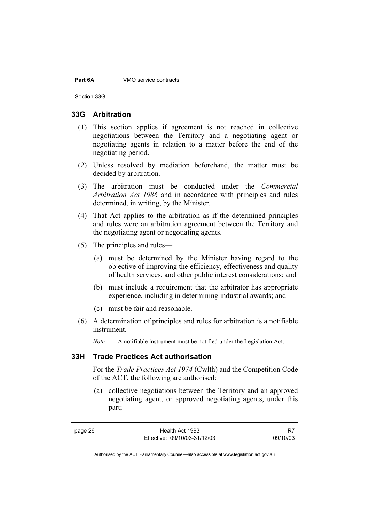#### **Part 6A VMO** service contracts

Section 33G

#### **33G Arbitration**

- (1) This section applies if agreement is not reached in collective negotiations between the Territory and a negotiating agent or negotiating agents in relation to a matter before the end of the negotiating period.
- (2) Unless resolved by mediation beforehand, the matter must be decided by arbitration.
- (3) The arbitration must be conducted under the *Commercial Arbitration Act 1986* and in accordance with principles and rules determined, in writing, by the Minister.
- (4) That Act applies to the arbitration as if the determined principles and rules were an arbitration agreement between the Territory and the negotiating agent or negotiating agents.
- (5) The principles and rules—
	- (a) must be determined by the Minister having regard to the objective of improving the efficiency, effectiveness and quality of health services, and other public interest considerations; and
	- (b) must include a requirement that the arbitrator has appropriate experience, including in determining industrial awards; and
	- (c) must be fair and reasonable.
- (6) A determination of principles and rules for arbitration is a notifiable instrument.

*Note* A notifiable instrument must be notified under the Legislation Act.

#### **33H Trade Practices Act authorisation**

For the *Trade Practices Act 1974* (Cwlth) and the Competition Code of the ACT, the following are authorised:

 (a) collective negotiations between the Territory and an approved negotiating agent, or approved negotiating agents, under this part;

R7 09/10/03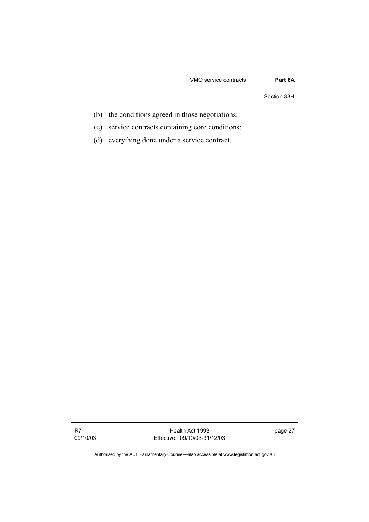#### VMO service contracts **Part 6A**

Section 33H

- (b) the conditions agreed in those negotiations;
- (c) service contracts containing core conditions;
- (d) everything done under a service contract.

R7 09/10/03

Health Act 1993 Effective: 09/10/03-31/12/03 page 27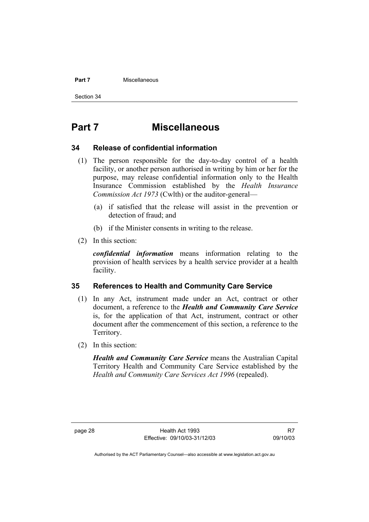#### **Part 7** Miscellaneous

Section 34

## **Part 7 Miscellaneous**

#### **34 Release of confidential information**

- (1) The person responsible for the day-to-day control of a health facility, or another person authorised in writing by him or her for the purpose, may release confidential information only to the Health Insurance Commission established by the *Health Insurance Commission Act 1973* (Cwlth) or the auditor-general—
	- (a) if satisfied that the release will assist in the prevention or detection of fraud; and
	- (b) if the Minister consents in writing to the release.
- (2) In this section:

*confidential information* means information relating to the provision of health services by a health service provider at a health facility.

#### **35 References to Health and Community Care Service**

- (1) In any Act, instrument made under an Act, contract or other document, a reference to the *Health and Community Care Service* is, for the application of that Act, instrument, contract or other document after the commencement of this section, a reference to the Territory.
- (2) In this section:

*Health and Community Care Service* means the Australian Capital Territory Health and Community Care Service established by the *Health and Community Care Services Act 1996* (repealed).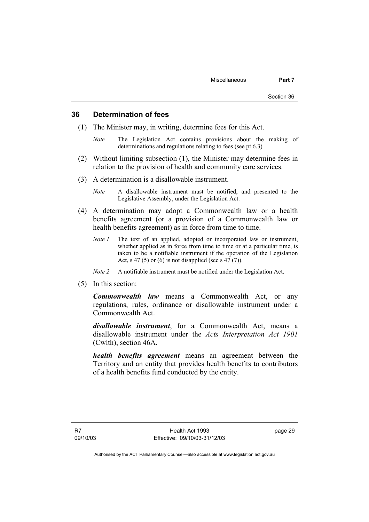#### **36 Determination of fees**

- (1) The Minister may, in writing, determine fees for this Act.
	- *Note* The Legislation Act contains provisions about the making of determinations and regulations relating to fees (see pt 6.3)
- (2) Without limiting subsection (1), the Minister may determine fees in relation to the provision of health and community care services.
- (3) A determination is a disallowable instrument.
	- *Note* A disallowable instrument must be notified, and presented to the Legislative Assembly, under the Legislation Act.
- (4) A determination may adopt a Commonwealth law or a health benefits agreement (or a provision of a Commonwealth law or health benefits agreement) as in force from time to time.
	- *Note 1* The text of an applied, adopted or incorporated law or instrument, whether applied as in force from time to time or at a particular time, is taken to be a notifiable instrument if the operation of the Legislation Act, s 47 (5) or (6) is not disapplied (see s 47 (7)).
	- *Note 2* A notifiable instrument must be notified under the Legislation Act.
- (5) In this section:

*Commonwealth law* means a Commonwealth Act, or any regulations, rules, ordinance or disallowable instrument under a Commonwealth Act.

*disallowable instrument*, for a Commonwealth Act, means a disallowable instrument under the *Acts Interpretation Act 1901* (Cwlth), section 46A.

*health benefits agreement* means an agreement between the Territory and an entity that provides health benefits to contributors of a health benefits fund conducted by the entity.

page 29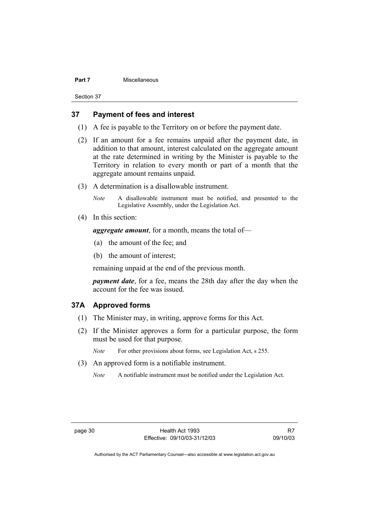#### **Part 7 Miscellaneous**

Section 37

### **37 Payment of fees and interest**

- (1) A fee is payable to the Territory on or before the payment date.
- (2) If an amount for a fee remains unpaid after the payment date, in addition to that amount, interest calculated on the aggregate amount at the rate determined in writing by the Minister is payable to the Territory in relation to every month or part of a month that the aggregate amount remains unpaid.
- (3) A determination is a disallowable instrument.

*Note* A disallowable instrument must be notified, and presented to the Legislative Assembly, under the Legislation Act.

(4) In this section:

*aggregate amount*, for a month, means the total of—

- (a) the amount of the fee; and
- (b) the amount of interest;

remaining unpaid at the end of the previous month.

*payment date*, for a fee, means the 28th day after the day when the account for the fee was issued.

#### **37A Approved forms**

- (1) The Minister may, in writing, approve forms for this Act.
- (2) If the Minister approves a form for a particular purpose, the form must be used for that purpose.

*Note* For other provisions about forms, see Legislation Act, s 255.

- (3) An approved form is a notifiable instrument.
	- *Note* A notifiable instrument must be notified under the Legislation Act.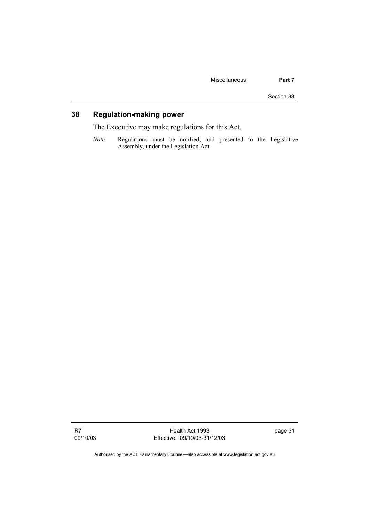Section 38

## **38 Regulation-making power**

The Executive may make regulations for this Act.

*Note* Regulations must be notified, and presented to the Legislative Assembly, under the Legislation Act.

R7 09/10/03

Health Act 1993 Effective: 09/10/03-31/12/03 page 31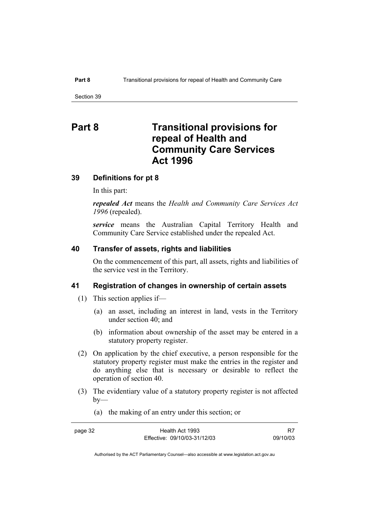## **Part 8 Transitional provisions for repeal of Health and Community Care Services Act 1996**

#### **39 Definitions for pt 8**

In this part:

*repealed Act* means the *Health and Community Care Services Act 1996* (repealed).

*service* means the Australian Capital Territory Health and Community Care Service established under the repealed Act.

#### **40 Transfer of assets, rights and liabilities**

On the commencement of this part, all assets, rights and liabilities of the service vest in the Territory.

#### **41 Registration of changes in ownership of certain assets**

- (1) This section applies if—
	- (a) an asset, including an interest in land, vests in the Territory under section 40; and
	- (b) information about ownership of the asset may be entered in a statutory property register.
- (2) On application by the chief executive, a person responsible for the statutory property register must make the entries in the register and do anything else that is necessary or desirable to reflect the operation of section 40.
- (3) The evidentiary value of a statutory property register is not affected  $by-$ 
	- (a) the making of an entry under this section; or

page 32

| Health Act 1993              | R7       |
|------------------------------|----------|
| Effective: 09/10/03-31/12/03 | 09/10/03 |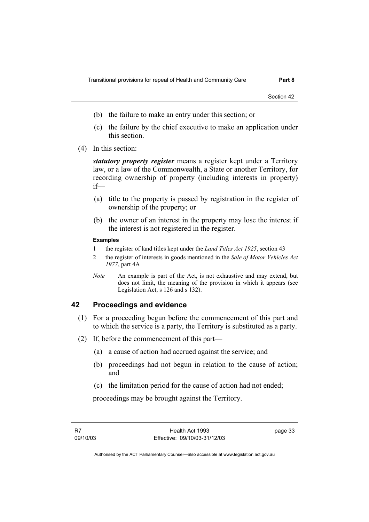Section 42

- (b) the failure to make an entry under this section; or
- (c) the failure by the chief executive to make an application under this section.
- (4) In this section:

*statutory property register* means a register kept under a Territory law, or a law of the Commonwealth, a State or another Territory, for recording ownership of property (including interests in property) if—

- (a) title to the property is passed by registration in the register of ownership of the property; or
- (b) the owner of an interest in the property may lose the interest if the interest is not registered in the register.

#### **Examples**

- 1 the register of land titles kept under the *Land Titles Act 1925*, section 43
- 2 the register of interests in goods mentioned in the *Sale of Motor Vehicles Act 1977*, part 4A
- *Note* An example is part of the Act, is not exhaustive and may extend, but does not limit, the meaning of the provision in which it appears (see Legislation Act, s 126 and s 132).

#### **42 Proceedings and evidence**

- (1) For a proceeding begun before the commencement of this part and to which the service is a party, the Territory is substituted as a party.
- (2) If, before the commencement of this part—
	- (a) a cause of action had accrued against the service; and
	- (b) proceedings had not begun in relation to the cause of action; and
	- (c) the limitation period for the cause of action had not ended;

proceedings may be brought against the Territory.

page 33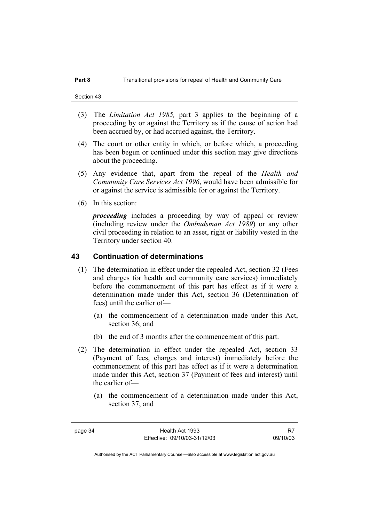- (3) The *Limitation Act 1985,* part 3 applies to the beginning of a proceeding by or against the Territory as if the cause of action had been accrued by, or had accrued against, the Territory.
- (4) The court or other entity in which, or before which, a proceeding has been begun or continued under this section may give directions about the proceeding.
- (5) Any evidence that, apart from the repeal of the *Health and Community Care Services Act 1996*, would have been admissible for or against the service is admissible for or against the Territory.
- (6) In this section:

*proceeding* includes a proceeding by way of appeal or review (including review under the *Ombudsman Act 1989*) or any other civil proceeding in relation to an asset, right or liability vested in the Territory under section 40.

#### **43 Continuation of determinations**

- (1) The determination in effect under the repealed Act, section 32 (Fees and charges for health and community care services) immediately before the commencement of this part has effect as if it were a determination made under this Act, section 36 (Determination of fees) until the earlier of—
	- (a) the commencement of a determination made under this Act, section 36; and
	- (b) the end of 3 months after the commencement of this part.
- (2) The determination in effect under the repealed Act, section 33 (Payment of fees, charges and interest) immediately before the commencement of this part has effect as if it were a determination made under this Act, section 37 (Payment of fees and interest) until the earlier of—
	- (a) the commencement of a determination made under this Act, section 37; and

R7 09/10/03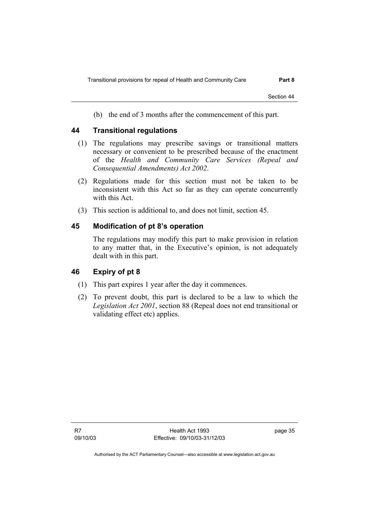Section 44

(b) the end of 3 months after the commencement of this part.

### **44 Transitional regulations**

- (1) The regulations may prescribe savings or transitional matters necessary or convenient to be prescribed because of the enactment of the *Health and Community Care Services (Repeal and Consequential Amendments) Act 2002*.
- (2) Regulations made for this section must not be taken to be inconsistent with this Act so far as they can operate concurrently with this Act.
- (3) This section is additional to, and does not limit, section 45.

### **45 Modification of pt 8's operation**

The regulations may modify this part to make provision in relation to any matter that, in the Executive's opinion, is not adequately dealt with in this part.

#### **46 Expiry of pt 8**

- (1) This part expires 1 year after the day it commences.
- (2) To prevent doubt, this part is declared to be a law to which the *Legislation Act 2001*, section 88 (Repeal does not end transitional or validating effect etc) applies.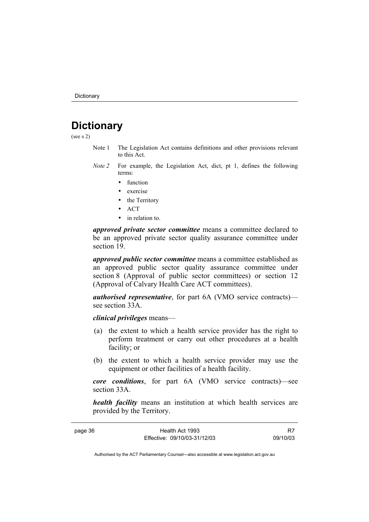## **Dictionary**

(see s 2)

- Note 1 The Legislation Act contains definitions and other provisions relevant to this Act.
- *Note 2* For example, the Legislation Act, dict, pt 1, defines the following terms:
	- function
	- exercise
	- the Territory
	- ACT
	- in relation to.

*approved private sector committee* means a committee declared to be an approved private sector quality assurance committee under section 19.

*approved public sector committee* means a committee established as an approved public sector quality assurance committee under section 8 (Approval of public sector committees) or section 12 (Approval of Calvary Health Care ACT committees).

*authorised representative*, for part 6A (VMO service contracts) see section 33A.

*clinical privileges* means—

- (a) the extent to which a health service provider has the right to perform treatment or carry out other procedures at a health facility; or
- (b) the extent to which a health service provider may use the equipment or other facilities of a health facility.

*core conditions*, for part 6A (VMO service contracts)—see section 33A.

*health facility* means an institution at which health services are provided by the Territory.

page 36 Health Act 1993 Effective: 09/10/03-31/12/03

R7 09/10/03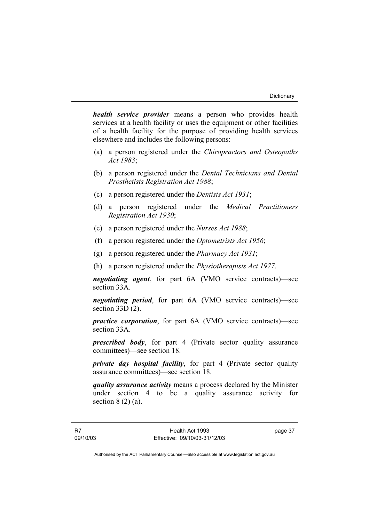*health service provider* means a person who provides health services at a health facility or uses the equipment or other facilities of a health facility for the purpose of providing health services elsewhere and includes the following persons:

- (a) a person registered under the *Chiropractors and Osteopaths Act 1983*;
- (b) a person registered under the *Dental Technicians and Dental Prosthetists Registration Act 1988*;
- (c) a person registered under the *Dentists Act 1931*;
- (d) a person registered under the *Medical Practitioners Registration Act 1930*;
- (e) a person registered under the *Nurses Act 1988*;
- (f) a person registered under the *Optometrists Act 1956*;
- (g) a person registered under the *Pharmacy Act 1931*;
- (h) a person registered under the *Physiotherapists Act 1977*.

*negotiating agent*, for part 6A (VMO service contracts)—see section 33A.

*negotiating period*, for part 6A (VMO service contracts)—see section 33D (2).

*practice corporation*, for part 6A (VMO service contracts)—see section 33A.

*prescribed body*, for part 4 (Private sector quality assurance committees)—see section 18.

*private day hospital facility*, for part 4 (Private sector quality assurance committees)—see section 18.

*quality assurance activity* means a process declared by the Minister under section 4 to be a quality assurance activity for section  $8(2)(a)$ .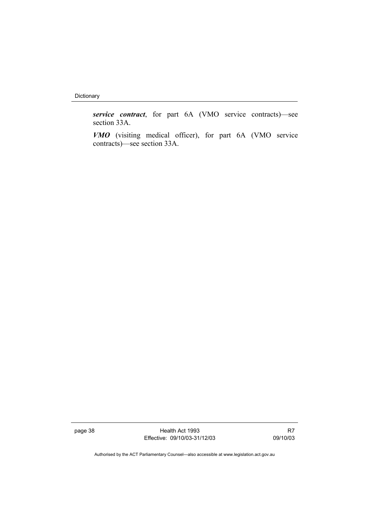Dictionary

*service contract*, for part 6A (VMO service contracts)—see section 33A.

*VMO* (visiting medical officer), for part 6A (VMO service contracts)—see section 33A.

page 38 Health Act 1993 Effective: 09/10/03-31/12/03

R7 09/10/03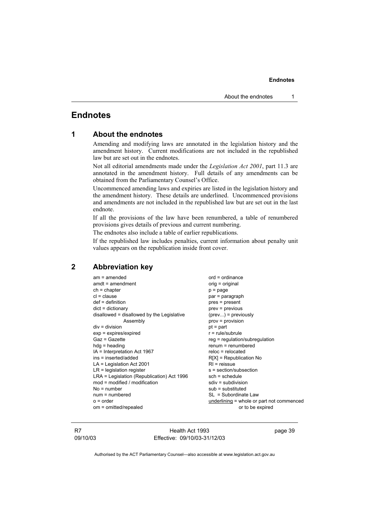### **Endnotes**

#### **1 About the endnotes**

Amending and modifying laws are annotated in the legislation history and the amendment history. Current modifications are not included in the republished law but are set out in the endnotes.

Not all editorial amendments made under the *Legislation Act 2001*, part 11.3 are annotated in the amendment history. Full details of any amendments can be obtained from the Parliamentary Counsel's Office.

Uncommenced amending laws and expiries are listed in the legislation history and the amendment history. These details are underlined. Uncommenced provisions and amendments are not included in the republished law but are set out in the last endnote.

If all the provisions of the law have been renumbered, a table of renumbered provisions gives details of previous and current numbering.

The endnotes also include a table of earlier republications.

If the republished law includes penalties, current information about penalty unit values appears on the republication inside front cover.

#### **2 Abbreviation key**

am = amended ord = ordinance<br>amdt = amendment original ordinal ordinance  $amdt = amendment$  $ch = chapter$  p = page  $cl = clause$  par = paragraph def = definition end = pres = present<br>dict = dictionary end = previous disallowed = disallowed by the Legislative (prev...) = previously Assembly prov = provision  $div =$  division pt = part exp = expires/expired r = rule/subrule  $Gaz = Gazette$  regulation/subregulation hdg = heading renum = renumbered  $IA =$  Interpretation Act 1967 ins = inserted/added R[X] = Republication No  $LA = Lea$  is a late  $A = Lea$  is a late  $A = Rea$  is a late  $A = Rea$  is a late  $A = Rea$  is a late  $A = Rea$  is a late  $A = Rea$  is a late  $A = Rea$  is a late  $A = Rea$  is a late  $A = Rea$  is a late  $A = Rea$  is a late  $A = Rea$  is a late  $A = Rea$  is a late  $LR =$  legislation register s = section/subsection LRA = Legislation (Republication) Act 1996 sch = schedule  $mod = modified / modification$  sdiv = subdivision  $No = number$  sub = substituted num = numbered SL = Subordinate Law o = order underlining = whole or part not commenced om = omitted/repealed or to be expired

 $\text{prev} = \text{previous}$ 

R7 09/10/03

Health Act 1993 Effective: 09/10/03-31/12/03 page 39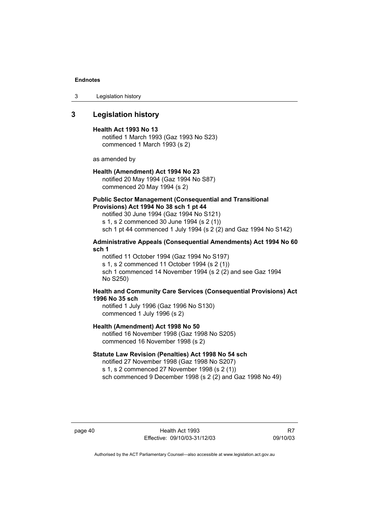3 Legislation history

### **3 Legislation history**

#### **Health Act 1993 No 13**

notified 1 March 1993 (Gaz 1993 No S23) commenced 1 March 1993 (s 2)

as amended by

#### **Health (Amendment) Act 1994 No 23**

notified 20 May 1994 (Gaz 1994 No S87) commenced 20 May 1994 (s 2)

#### **Public Sector Management (Consequential and Transitional Provisions) Act 1994 No 38 sch 1 pt 44**

notified 30 June 1994 (Gaz 1994 No S121)

s 1, s 2 commenced 30 June 1994 (s 2 (1))

sch 1 pt 44 commenced 1 July 1994 (s 2 (2) and Gaz 1994 No S142)

#### **Administrative Appeals (Consequential Amendments) Act 1994 No 60 sch 1**

notified 11 October 1994 (Gaz 1994 No S197) s 1, s 2 commenced 11 October 1994 (s 2 (1)) sch 1 commenced 14 November 1994 (s 2 (2) and see Gaz 1994 No S250)

#### **Health and Community Care Services (Consequential Provisions) Act 1996 No 35 sch**

notified 1 July 1996 (Gaz 1996 No S130) commenced 1 July 1996 (s 2)

#### **Health (Amendment) Act 1998 No 50**

notified 16 November 1998 (Gaz 1998 No S205) commenced 16 November 1998 (s 2)

#### **Statute Law Revision (Penalties) Act 1998 No 54 sch**

notified 27 November 1998 (Gaz 1998 No S207) s 1, s 2 commenced 27 November 1998 (s 2 (1)) sch commenced 9 December 1998 (s 2 (2) and Gaz 1998 No 49)

page 40 Health Act 1993 Effective: 09/10/03-31/12/03

R7 09/10/03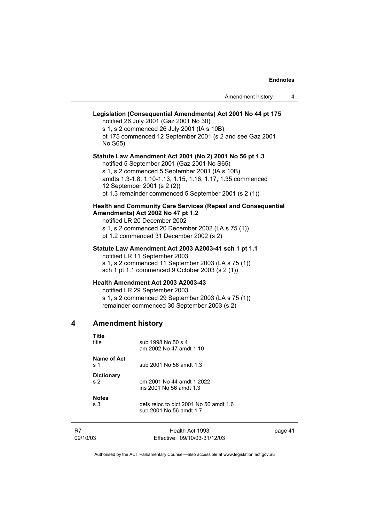### **Legislation (Consequential Amendments) Act 2001 No 44 pt 175**  notified 26 July 2001 (Gaz 2001 No 30) s 1, s 2 commenced 26 July 2001 (IA s 10B) pt 175 commenced 12 September 2001 (s 2 and see Gaz 2001 No S65) **Statute Law Amendment Act 2001 (No 2) 2001 No 56 pt 1.3**  notified 5 September 2001 (Gaz 2001 No S65) s 1, s 2 commenced 5 September 2001 (IA s 10B) amdts 1.3-1.8, 1.10-1.13, 1.15, 1.16, 1.17, 1.35 commenced 12 September 2001 (s 2 (2)) pt 1.3 remainder commenced 5 September 2001 (s 2 (1)) **Health and Community Care Services (Repeal and Consequential Amendments) Act 2002 No 47 pt 1.2**  notified LR 20 December 2002 s 1, s 2 commenced 20 December 2002 (LA s 75 (1)) pt 1.2 commenced 31 December 2002 (s 2)

## **Statute Law Amendment Act 2003 A2003-41 sch 1 pt 1.1**  notified LR 11 September 2003

s 1, s 2 commenced 11 September 2003 (LA s 75 (1)) sch 1 pt 1.1 commenced 9 October 2003 (s 2 (1))

#### **Health Amendment Act 2003 A2003-43**

notified LR 29 September 2003 s 1, s 2 commenced 29 September 2003 (LA s 75 (1)) remainder commenced 30 September 2003 (s 2)

#### **4 Amendment history**

| Title              | sub 1998 No 50 s 4                     |
|--------------------|----------------------------------------|
| title              | am 2002 No 47 amdt 1.10                |
| Name of Act<br>s 1 | sub 2001 No 56 amdt 1.3                |
| <b>Dictionary</b>  | om 2001 No 44 amdt 1.2022              |
| s <sub>2</sub>     | ins 2001 No 56 amdt 1.3                |
| <b>Notes</b>       | defs reloc to dict 2001 No 56 amdt 1.6 |
| s <sub>3</sub>     | sub 2001 No 56 amdt 1.7                |

| R7       | Health Act 1993              | page 41 |
|----------|------------------------------|---------|
| 09/10/03 | Effective: 09/10/03-31/12/03 |         |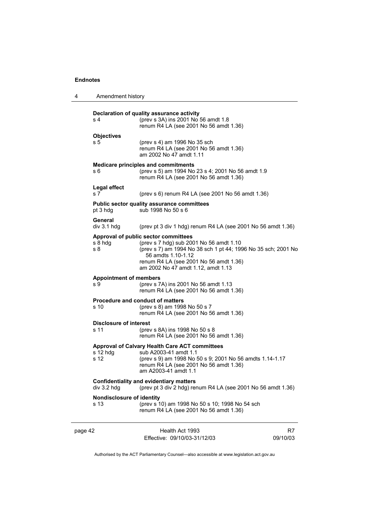| 4       | Amendment history                        |                                                                                                                                                                                                                                                        |                |
|---------|------------------------------------------|--------------------------------------------------------------------------------------------------------------------------------------------------------------------------------------------------------------------------------------------------------|----------------|
|         | s 4                                      | Declaration of quality assurance activity<br>(prev s 3A) ins 2001 No 56 amdt 1.8<br>renum R4 LA (see 2001 No 56 amdt 1.36)                                                                                                                             |                |
|         | <b>Objectives</b><br>s 5                 | (prev s 4) am 1996 No 35 sch<br>renum R4 LA (see 2001 No 56 amdt 1.36)<br>am 2002 No 47 amdt 1.11                                                                                                                                                      |                |
|         | s 6                                      | <b>Medicare principles and commitments</b><br>(prev s 5) am 1994 No 23 s 4; 2001 No 56 amdt 1.9<br>renum R4 LA (see 2001 No 56 amdt 1.36)                                                                                                              |                |
|         | Legal effect<br>s 7                      | (prev s 6) renum R4 LA (see 2001 No 56 amdt 1.36)                                                                                                                                                                                                      |                |
|         | pt 3 hdg                                 | <b>Public sector quality assurance committees</b><br>sub 1998 No 50 s 6                                                                                                                                                                                |                |
|         | General<br>div 3.1 h dg                  | (prev pt 3 div 1 hdg) renum R4 LA (see 2001 No 56 amdt 1.36)                                                                                                                                                                                           |                |
|         | s 8 hdg<br>s 8                           | Approval of public sector committees<br>(prev s 7 hdg) sub 2001 No 56 amdt 1.10<br>(prev s 7) am 1994 No 38 sch 1 pt 44; 1996 No 35 sch; 2001 No<br>56 amdts 1.10-1.12<br>renum R4 LA (see 2001 No 56 amdt 1.36)<br>am 2002 No 47 amdt 1.12, amdt 1.13 |                |
|         | <b>Appointment of members</b><br>s 9     | (prev s 7A) ins 2001 No 56 amdt 1.13<br>renum R4 LA (see 2001 No 56 amdt 1.36)                                                                                                                                                                         |                |
|         | s 10                                     | <b>Procedure and conduct of matters</b><br>(prev s 8) am 1998 No 50 s 7<br>renum R4 LA (see 2001 No 56 amdt 1.36)                                                                                                                                      |                |
|         | <b>Disclosure of interest</b><br>s 11    | (prev s 8A) ins 1998 No 50 s 8<br>renum R4 LA (see 2001 No 56 amdt 1.36)                                                                                                                                                                               |                |
|         | s 12 hdg<br>s 12                         | <b>Approval of Calvary Health Care ACT committees</b><br>sub A2003-41 amdt 1.1<br>(prev s 9) am 1998 No 50 s 9; 2001 No 56 amdts 1.14-1.17<br>renum R4 LA (see 2001 No 56 amdt 1.36)<br>am A2003-41 amdt 1.1                                           |                |
|         | div 3.2 hdg                              | <b>Confidentiality and evidentiary matters</b><br>(prev pt 3 div 2 hdg) renum R4 LA (see 2001 No 56 amdt 1.36)                                                                                                                                         |                |
|         | <b>Nondisclosure of identity</b><br>s 13 | (prev s 10) am 1998 No 50 s 10; 1998 No 54 sch<br>renum R4 LA (see 2001 No 56 amdt 1.36)                                                                                                                                                               |                |
| page 42 |                                          | Health Act 1993<br>Effective: 09/10/03-31/12/03                                                                                                                                                                                                        | R7<br>09/10/03 |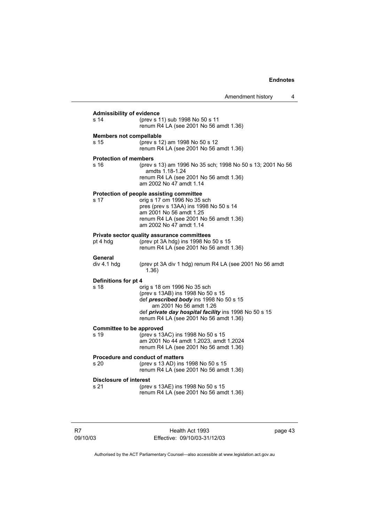| <b>Admissibility of evidence</b>        |                                                                                                                                                                                                                                           |  |
|-----------------------------------------|-------------------------------------------------------------------------------------------------------------------------------------------------------------------------------------------------------------------------------------------|--|
| s 14                                    | (prev s 11) sub 1998 No 50 s 11<br>renum R4 LA (see 2001 No 56 amdt 1.36)                                                                                                                                                                 |  |
| <b>Members not compellable</b><br>s 15  | (prev s 12) am 1998 No 50 s 12<br>renum R4 LA (see 2001 No 56 amdt 1.36)                                                                                                                                                                  |  |
| <b>Protection of members</b><br>s 16    | (prev s 13) am 1996 No 35 sch; 1998 No 50 s 13; 2001 No 56<br>amdts 1.18-1.24<br>renum R4 LA (see 2001 No 56 amdt 1.36)<br>am 2002 No 47 amdt 1.14                                                                                        |  |
| s 17                                    | Protection of people assisting committee<br>orig s 17 om 1996 No 35 sch<br>pres (prev s 13AA) ins 1998 No 50 s 14<br>am 2001 No 56 amdt 1.25<br>renum R4 LA (see 2001 No 56 amdt 1.36)<br>am 2002 No 47 amdt 1.14                         |  |
| pt 4 hdg                                | Private sector quality assurance committees<br>(prev pt 3A hdg) ins 1998 No 50 s 15<br>renum R4 LA (see 2001 No 56 amdt 1.36)                                                                                                             |  |
| General<br>div 4.1 hdg                  | (prev pt 3A div 1 hdg) renum R4 LA (see 2001 No 56 amdt<br>1.36)                                                                                                                                                                          |  |
| Definitions for pt 4<br>s 18            | orig s 18 om 1996 No 35 sch<br>(prev s 13AB) ins 1998 No 50 s 15<br>def prescribed body ins 1998 No 50 s 15<br>am 2001 No 56 amdt 1.26<br>def private day hospital facility ins 1998 No 50 s 15<br>renum R4 LA (see 2001 No 56 amdt 1.36) |  |
| <b>Committee to be approved</b><br>s 19 | (prev s 13AC) ins 1998 No 50 s 15<br>am 2001 No 44 amdt 1.2023, amdt 1.2024<br>renum R4 LA (see 2001 No 56 amdt 1.36)                                                                                                                     |  |
| s 20                                    | <b>Procedure and conduct of matters</b><br>(prev s 13 AD) ins 1998 No 50 s 15<br>renum R4 LA (see 2001 No 56 amdt 1.36)                                                                                                                   |  |
| <b>Disclosure of interest</b><br>s 21   | (prev s 13AE) ins 1998 No 50 s 15<br>renum R4 LA (see 2001 No 56 amdt 1.36)                                                                                                                                                               |  |

R7 09/10/03

Health Act 1993 Effective: 09/10/03-31/12/03 page 43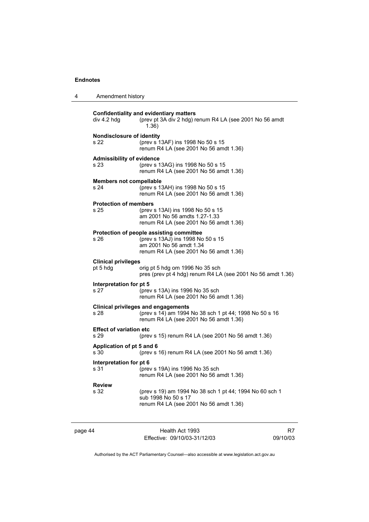| 4       | Amendment history                        |                                                                                                                                                    |    |
|---------|------------------------------------------|----------------------------------------------------------------------------------------------------------------------------------------------------|----|
|         | div 4.2 hdg                              | <b>Confidentiality and evidentiary matters</b><br>(prev pt 3A div 2 hdg) renum R4 LA (see 2001 No 56 amdt<br>1.36)                                 |    |
|         | <b>Nondisclosure of identity</b><br>s 22 | (prev s 13AF) ins 1998 No 50 s 15<br>renum R4 LA (see 2001 No 56 amdt 1.36)                                                                        |    |
|         | <b>Admissibility of evidence</b><br>s 23 | (prev s 13AG) ins 1998 No 50 s 15<br>renum R4 LA (see 2001 No 56 amdt 1.36)                                                                        |    |
|         | <b>Members not compellable</b><br>s 24   | (prev s 13AH) ins 1998 No 50 s 15<br>renum R4 LA (see 2001 No 56 amdt 1.36)                                                                        |    |
|         | <b>Protection of members</b><br>s 25     | (prev s 13AI) ins 1998 No 50 s 15<br>am 2001 No 56 amdts 1.27-1.33<br>renum R4 LA (see 2001 No 56 amdt 1.36)                                       |    |
|         | s 26                                     | Protection of people assisting committee<br>(prev s 13AJ) ins 1998 No 50 s 15<br>am 2001 No 56 amdt 1.34<br>renum R4 LA (see 2001 No 56 amdt 1.36) |    |
|         | <b>Clinical privileges</b><br>pt 5 hdg   | orig pt 5 hdg om 1996 No 35 sch<br>pres (prev pt 4 hdg) renum R4 LA (see 2001 No 56 amdt 1.36)                                                     |    |
|         | Interpretation for pt 5<br>s 27          | (prev s 13A) ins 1996 No 35 sch<br>renum R4 LA (see 2001 No 56 amdt 1.36)                                                                          |    |
|         | s 28                                     | <b>Clinical privileges and engagements</b><br>(prev s 14) am 1994 No 38 sch 1 pt 44; 1998 No 50 s 16<br>renum R4 LA (see 2001 No 56 amdt 1.36)     |    |
|         | <b>Effect of variation etc</b><br>s 29   | (prev s 15) renum R4 LA (see 2001 No 56 amdt 1.36)                                                                                                 |    |
|         | Application of pt 5 and 6<br>s 30        | (prev s 16) renum R4 LA (see 2001 No 56 amdt 1.36)                                                                                                 |    |
|         | Interpretation for pt 6<br>s 31          | (prev s 19A) ins 1996 No 35 sch<br>renum R4 LA (see 2001 No 56 amdt 1.36)                                                                          |    |
|         | <b>Review</b><br>s 32                    | (prev s 19) am 1994 No 38 sch 1 pt 44; 1994 No 60 sch 1<br>sub 1998 No 50 s 17<br>renum R4 LA (see 2001 No 56 amdt 1.36)                           |    |
| page 44 |                                          | Health Act 1993                                                                                                                                    | R7 |

Authorised by the ACT Parliamentary Counsel—also accessible at www.legislation.act.gov.au

09/10/03

Effective: 09/10/03-31/12/03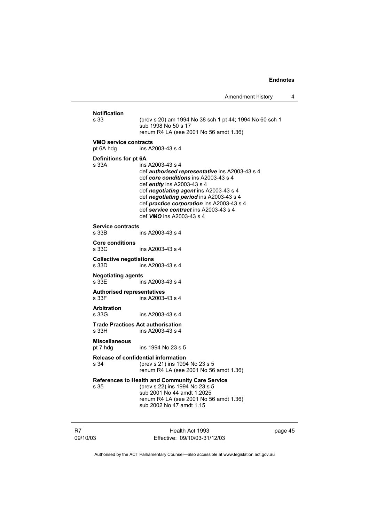| Amendment history |  |
|-------------------|--|
|-------------------|--|

| <b>Notification</b><br>s 33                | (prev s 20) am 1994 No 38 sch 1 pt 44; 1994 No 60 sch 1<br>sub 1998 No 50 s 17<br>renum R4 LA (see 2001 No 56 amdt 1.36)                                                                                                                                                                                                                                       |
|--------------------------------------------|----------------------------------------------------------------------------------------------------------------------------------------------------------------------------------------------------------------------------------------------------------------------------------------------------------------------------------------------------------------|
| <b>VMO service contracts</b><br>pt 6A hdg  | ins A2003-43 s 4                                                                                                                                                                                                                                                                                                                                               |
| Definitions for pt 6A<br>s 33A             | ins A2003-43 s 4<br>def <b>authorised representative</b> ins A2003-43 s 4<br>def core conditions ins A2003-43 s 4<br>def entity ins A2003-43 s 4<br>def negotiating agent ins A2003-43 s 4<br>def negotiating period ins A2003-43 s 4<br>def practice corporation ins A2003-43 s 4<br>def service contract ins A2003-43 s 4<br>def <b>VMO</b> ins A2003-43 s 4 |
| <b>Service contracts</b><br>s 33B          | ins A2003-43 s 4                                                                                                                                                                                                                                                                                                                                               |
| <b>Core conditions</b><br>s 33C            | ins A2003-43 s 4                                                                                                                                                                                                                                                                                                                                               |
| <b>Collective negotiations</b><br>s 33D    | ins A2003-43 s 4                                                                                                                                                                                                                                                                                                                                               |
| <b>Negotiating agents</b><br>s 33E         | ins A2003-43 s 4                                                                                                                                                                                                                                                                                                                                               |
| <b>Authorised representatives</b><br>s 33F | ins A2003-43 s 4                                                                                                                                                                                                                                                                                                                                               |
| <b>Arbitration</b><br>s 33G                | ins A2003-43 s 4                                                                                                                                                                                                                                                                                                                                               |
| s 33H                                      | <b>Trade Practices Act authorisation</b><br>ins A2003-43 s 4                                                                                                                                                                                                                                                                                                   |
| <b>Miscellaneous</b><br>pt 7 hdg           | ins 1994 No 23 s 5                                                                                                                                                                                                                                                                                                                                             |
| s 34                                       | Release of confidential information<br>(prev s 21) ins 1994 No 23 s 5<br>renum R4 LA (see 2001 No 56 amdt 1.36)                                                                                                                                                                                                                                                |
| s 35                                       | References to Health and Community Care Service<br>(prev s 22) ins 1994 No 23 s 5<br>sub 2001 No 44 amdt 1.2025<br>renum R4 LA (see 2001 No 56 amdt 1.36)<br>sub 2002 No 47 amdt 1.15                                                                                                                                                                          |

R7 09/10/03

Health Act 1993 Effective: 09/10/03-31/12/03 page 45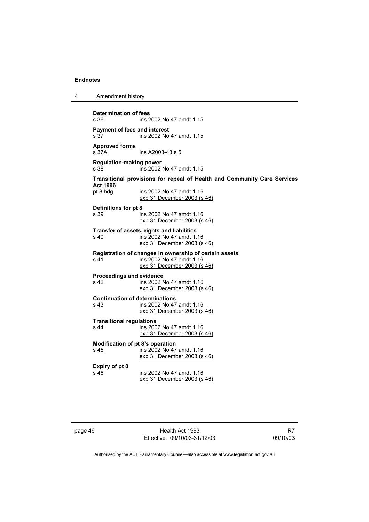| 4 | Amendment history |
|---|-------------------|
|---|-------------------|

**Determination of fees**  s 36 ins 2002 No 47 amdt 1.15 **Payment of fees and interest**  s 37 ins 2002 No 47 amdt 1.15 **Approved forms**  s 37A ins A2003-43 s 5 **Regulation-making power**  ins 2002 No 47 amdt 1.15 **Transitional provisions for repeal of Health and Community Care Services Act 1996** ins 2002 No 47 amdt 1.16 exp 31 December 2003 (s 46) **Definitions for pt 8**  s 39 ins 2002 No 47 amdt 1.16 exp 31 December 2003 (s 46) **Transfer of assets, rights and liabilities**  s 40 ins 2002 No 47 amdt 1.16 exp 31 December 2003 (s 46) **Registration of changes in ownership of certain assets**  ins 2002 No 47 amdt 1.16 exp 31 December 2003 (s 46) **Proceedings and evidence**  ins 2002 No 47 amdt 1.16 exp 31 December 2003 (s 46) **Continuation of determinations**  s 43 ins 2002 No 47 amdt 1.16 exp 31 December 2003 (s 46) **Transitional regulations**  s 44 ins 2002 No 47 amdt 1.16 exp 31 December 2003 (s 46) **Modification of pt 8's operation**  ins 2002 No 47 amdt 1.16 exp 31 December 2003 (s 46) **Expiry of pt 8**  ins 2002 No 47 amdt 1.16 exp 31 December 2003 (s 46)

page 46 Health Act 1993 Effective: 09/10/03-31/12/03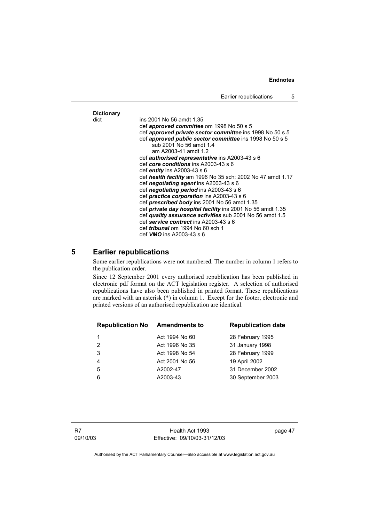## **Dictionary**

dict ins 2001 No 56 amdt 1.35 def *approved committee* om 1998 No 50 s 5 def *approved private sector committee* ins 1998 No 50 s 5 def *approved public sector committee* ins 1998 No 50 s 5 sub 2001 No 56 amdt 1.4 am A2003-41 amdt 1.2 def *authorised representative* ins A2003-43 s 6 def *core conditions* ins A2003-43 s 6 def *entity* ins A2003-43 s 6 def *health facility* am 1996 No 35 sch; 2002 No 47 amdt 1.17 def *negotiating agent* ins A2003-43 s 6 def *negotiating period* ins A2003-43 s 6 def *practice corporation* ins A2003-43 s 6 def *prescribed body* ins 2001 No 56 amdt 1.35 def *private day hospital facility* ins 2001 No 56 amdt 1.35 def *quality assurance activities* sub 2001 No 56 amdt 1.5 def *service contract* ins A2003-43 s 6 def *tribunal* om 1994 No 60 sch 1 def *VMO* ins A2003-43 s 6

#### **5 Earlier republications**

Some earlier republications were not numbered. The number in column 1 refers to the publication order.

Since 12 September 2001 every authorised republication has been published in electronic pdf format on the ACT legislation register. A selection of authorised republications have also been published in printed format. These republications are marked with an asterisk (\*) in column 1. Except for the footer, electronic and printed versions of an authorised republication are identical.

| <b>Republication No</b> | <b>Amendments to</b> | <b>Republication date</b> |
|-------------------------|----------------------|---------------------------|
|                         | Act 1994 No 60       | 28 February 1995          |
| $\mathcal{P}$           | Act 1996 No 35       | 31 January 1998           |
| 3                       | Act 1998 No 54       | 28 February 1999          |
| 4                       | Act 2001 No 56       | 19 April 2002             |
| 5                       | A2002-47             | 31 December 2002          |
| 6                       | A2003-43             | 30 September 2003         |
|                         |                      |                           |

Health Act 1993 Effective: 09/10/03-31/12/03 page 47